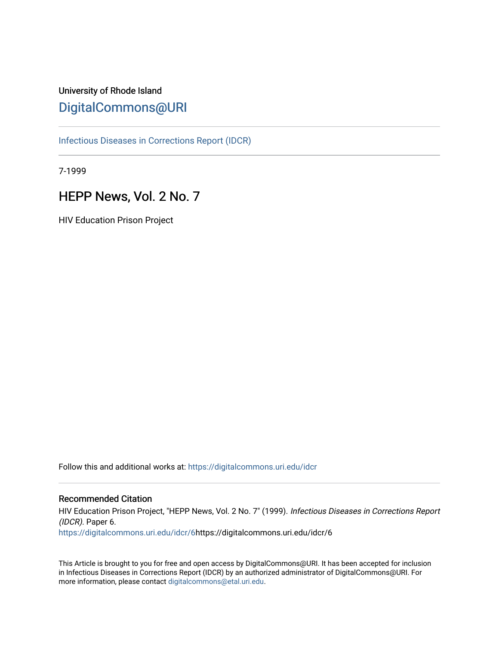# University of Rhode Island [DigitalCommons@URI](https://digitalcommons.uri.edu/)

[Infectious Diseases in Corrections Report \(IDCR\)](https://digitalcommons.uri.edu/idcr)

7-1999

# HEPP News, Vol. 2 No. 7

HIV Education Prison Project

Follow this and additional works at: [https://digitalcommons.uri.edu/idcr](https://digitalcommons.uri.edu/idcr?utm_source=digitalcommons.uri.edu%2Fidcr%2F6&utm_medium=PDF&utm_campaign=PDFCoverPages)

# Recommended Citation

HIV Education Prison Project, "HEPP News, Vol. 2 No. 7" (1999). Infectious Diseases in Corrections Report (IDCR). Paper 6. [https://digitalcommons.uri.edu/idcr/6](https://digitalcommons.uri.edu/idcr/6?utm_source=digitalcommons.uri.edu%2Fidcr%2F6&utm_medium=PDF&utm_campaign=PDFCoverPages)https://digitalcommons.uri.edu/idcr/6

This Article is brought to you for free and open access by DigitalCommons@URI. It has been accepted for inclusion in Infectious Diseases in Corrections Report (IDCR) by an authorized administrator of DigitalCommons@URI. For more information, please contact [digitalcommons@etal.uri.edu.](mailto:digitalcommons@etal.uri.edu)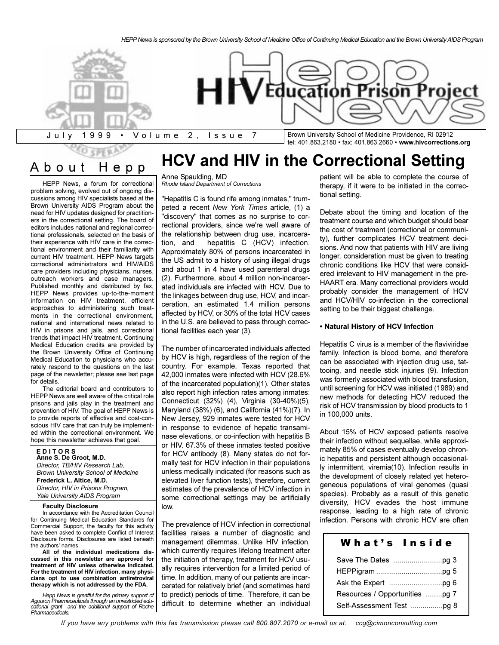**HCV and HIV in the Correctional Setting**



tel: 401.863.2180 fax: 401.863.2660 **www.hivcorrections.org**

# About Hepp

HEPP News, a forum for correctional problem solving, evolved out of ongoing discussions among HIV specialists based at the Brown University AIDS Program about the need for HIV updates designed for practitioners in the correctional setting. The board of editors includes national and regional correctional professionals, selected on the basis of their experience with HIV care in the correctional environment and their familiarity with current HIV treatment. HEPP News targets correctional administrators and HIV/AIDS care providers including physicians, nurses, outreach workers and case managers. Published monthly and distributed by fax, HEPP News provides up-to-the-moment information on HIV treatment, efficient approaches to administering such treatments in the correctional environment, national and international news related to HIV in prisons and jails, and correctional trends that impact HIV treatment. Continuing Medical Education credits are provided by the Brown University Office of Continuing Medical Education to physicians who accurately respond to the questions on the last page of the newsletter; please see last page for details.

The editorial board and contributors to HEPP News are well aware of the critical role prisons and jails play in the treatment and prevention of HIV. The goal of HEPP News is to provide reports of effective and cost-conscious HIV care that can truly be implemented within the correctional environment. We hope this newsletter achieves that goal.

**E D I T O R S Anne S. De Groot, M.D.** *Director, TB/HIV Research Lab, Brown University School of Medicine* **Frederick L. Altice, M.D.** *Director, HIV in Prisons Program, Yale University AIDS Program*

#### **Faculty Disclosure**

In accordance with the Accreditation Council for Continuing Medical Education Standards for Commercial Support, the faculty for this activity have been asked to complete Conflict of Interest Disclosure forms. Disclosures are listed beneath the authors' names.

**All of the individual medications discussed in this newsletter are approved for treatment of HIV unless otherwise indicated. For the treatment of HIV infection, many physicians opt to use combination antiretroviral therapy which is not addressed by the FDA.**

*Hepp News is greatful for the primary support of Agouron Pharmaceuticals through an unrestricted educational grant and the additional support of Roche Pharmaceuticals.*

#### Anne Spaulding, MD *Rhode Island Department of Corrections*

"Hepatitis C is found rife among inmates," trumpeted a recent *New York Times* article, (1) a "discovery" that comes as no surprise to correctional providers, since we're well aware of the relationship between drug use, incarceration, and hepatitis C (HCV) infection. Approximately 80% of persons incarcerated in the US admit to a history of using illegal drugs and about 1 in 4 have used parenteral drugs (2). Furthermore, about 4 million non-incarcerated individuals are infected with HCV. Due to the linkages between drug use, HCV, and incarceration, an estimated 1.4 million persons affected by HCV, or 30% of the total HCV cases in the U.S. are believed to pass through correctional facilities each year (3).

The number of incarcerated individuals affected by HCV is high, regardless of the region of the country. For example, Texas reported that 42,000 inmates were infected with HCV (28.6% of the incarcerated population)(1). Other states also report high infection rates among inmates: Connecticut (32%) (4), Virginia (30-40%)(5), Maryland (38%) (6), and California (41%)(7). In New Jersey, 929 inmates were tested for HCV in response to evidence of hepatic transaminase elevations, or co-infection with hepatitis B or HIV. 67.3% of these inmates tested positive for HCV antibody (8). Many states do not formally test for HCV infection in their populations unless medically indicated (for reasons such as elevated liver function tests), therefore, current estimates of the prevalence of HCV infection in some correctional settings may be artificially low.

The prevalence of HCV infection in correctional facilities raises a number of diagnostic and management dilemmas. Unlike HIV infection, which currently requires lifelong treatment after the initiation of therapy, treatment for HCV usually requires intervention for a limited period of time. In addition, many of our patients are incarcerated for relatively brief (and sometimes hard to predict) periods of time. Therefore, it can be difficult to determine whether an individual

patient will be able to complete the course of therapy, if it were to be initiated in the correctional setting.

Debate about the timing and location of the treatment course and which budget should bear the cost of treatment (correctional or community), further complicates HCV treatment decisions. And now that patients with HIV are living longer, consideration must be given to treating chronic conditions like HCV that were considered irrelevant to HIV management in the pre-HAART era. Many correctional providers would probably consider the management of HCV and HCV/HIV co-infection in the correctional setting to be their biggest challenge.

#### **Natural History of HCV Infection**

Hepatitis C virus is a member of the flaviviridae family. Infection is blood borne, and therefore can be associated with injection drug use, tattooing, and needle stick injuries (9). Infection was formerly associated with blood transfusion, until screening for HCV was initiated (1989) and new methods for detecting HCV reduced the risk of HCV transmission by blood products to 1 in 100,000 units.

About 15% of HCV exposed patients resolve their infection without sequellae, while approximately 85% of cases eventually develop chronic hepatitis and persistent although occasionally intermittent, viremia(10). Infection results in the development of closely related yet heterogeneous populations of viral genomes (quasi species). Probably as a result of this genetic diversity, HCV evades the host immune response, leading to a high rate of chronic infection. Persons with chronic HCV are often

# What's Inside

| Resources / Opportunities pg 7 |  |
|--------------------------------|--|
| Self-Assessment Test pg 8      |  |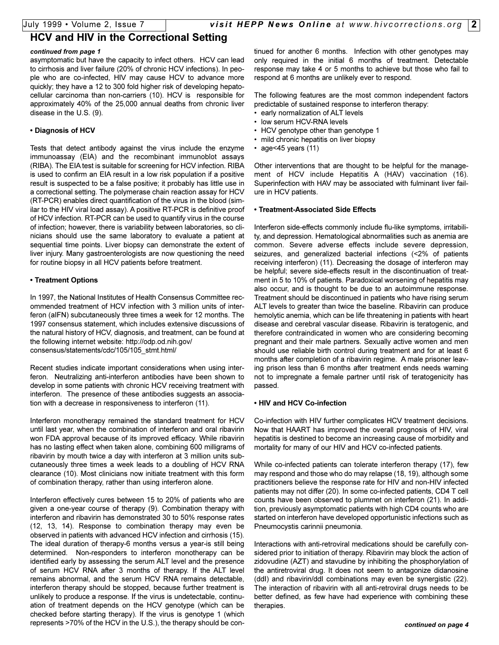# **HCV and HIV in the Correctional Setting**

#### *continued from page 1*

asymptomatic but have the capacity to infect others. HCV can lead to cirrhosis and liver failure (20% of chronic HCV infections). In people who are co-infected, HIV may cause HCV to advance more quickly; they have a 12 to 300 fold higher risk of developing hepatocellular carcinoma than non-carriers (10). HCV is responsible for approximately 40% of the 25,000 annual deaths from chronic liver disease in the U.S. (9).

### **Diagnosis of HCV**

Tests that detect antibody against the virus include the enzyme immunoassay (EIA) and the recombinant immunoblot assays (RIBA). The EIA test is suitable for screening for HCV infection. RIBA is used to confirm an EIA result in a low risk population if a positive result is suspected to be a false positive; it probably has little use in a correctional setting. The polymerase chain reaction assay for HCV (RT-PCR) enables direct quantification of the virus in the blood (similar to the HIV viral load assay). A positive RT-PCR is definitive proof of HCV infection. RT-PCR can be used to quantify virus in the course of infection; however, there is variability between laboratories, so clinicians should use the same laboratory to evaluate a patient at sequential time points. Liver biopsy can demonstrate the extent of liver injury. Many gastroenterologists are now questioning the need for routine biopsy in all HCV patients before treatment.

### **Treatment Options**

In 1997, the National Institutes of Health Consensus Committee recommended treatment of HCV infection with 3 million units of interferon (aIFN) subcutaneously three times a week for 12 months. The 1997 consensus statement, which includes extensive discussions of the natural history of HCV, diagnosis, and treatment, can be found at the following internet website: http://odp.od.nih.gov/ consensus/statements/cdc/105/105\_stmt.html/

Recent studies indicate important considerations when using interferon. Neutralizing anti-interferon antibodies have been shown to develop in some patients with chronic HCV receiving treatment with interferon. The presence of these antibodies suggests an association with a decrease in responsiveness to interferon (11).

Interferon monotherapy remained the standard treatment for HCV until last year, when the combination of interferon and oral ribavirin won FDA approval because of its improved efficacy. While ribavirin has no lasting effect when taken alone, combining 600 milligrams of ribavirin by mouth twice a day with interferon at 3 million units subcutaneously three times a week leads to a doubling of HCV RNA clearance (10). Most clinicians now initiate treatment with this form of combination therapy, rather than using interferon alone.

Interferon effectively cures between 15 to 20% of patients who are given a one-year course of therapy (9). Combination therapy with interferon and ribavirin has demonstrated 30 to 50% response rates (12, 13, 14). Response to combination therapy may even be observed in patients with advanced HCV infection and cirrhosis (15). The ideal duration of therapy-6 months versus a year-is still being determined. Non-responders to interferon monotherapy can be identified early by assessing the serum ALT level and the presence of serum HCV RNA after 3 months of therapy. If the ALT level remains abnormal, and the serum HCV RNA remains detectable, interferon therapy should be stopped, because further treatment is unlikely to produce a response. If the virus is undetectable, continuation of treatment depends on the HCV genotype (which can be checked before starting therapy). If the virus is genotype 1 (which represents >70% of the HCV in the U.S.), the therapy should be continued for another 6 months. Infection with other genotypes may only required in the initial 6 months of treatment. Detectable response may take 4 or 5 months to achieve but those who fail to respond at 6 months are unlikely ever to respond.

The following features are the most common independent factors predictable of sustained response to interferon therapy:

- early normalization of ALT levels
- low serum HCV-RNA levels
- HCV genotype other than genotype 1
- mild chronic hepatitis on liver biopsy
- age<45 years  $(11)$

Other interventions that are thought to be helpful for the management of HCV include Hepatitis A (HAV) vaccination (16). Superinfection with HAV may be associated with fulminant liver failure in HCV patients.

#### **Treatment-Associated Side Effects**

Interferon side-effects commonly include flu-like symptoms, irritability, and depression. Hematological abnormalities such as anemia are common. Severe adverse effects include severe depression, seizures, and generalized bacterial infections (<2% of patients receiving interferon) (11). Decreasing the dosage of interferon may be helpful; severe side-effects result in the discontinuation of treatment in 5 to 10% of patients. Paradoxical worsening of hepatitis may also occur, and is thought to be due to an autoimmune response. Treatment should be discontinued in patients who have rising serum ALT levels to greater than twice the baseline. Ribavirin can produce hemolytic anemia, which can be life threatening in patients with heart disease and cerebral vascular disease. Ribavirin is teratogenic, and therefore contraindicated in women who are considering becoming pregnant and their male partners. Sexually active women and men should use reliable birth control during treatment and for at least 6 months after completion of a ribavirin regime. A male prisoner leaving prison less than 6 months after treatment ends needs warning not to impregnate a female partner until risk of teratogenicity has passed.

### **HIV and HCV Co-infection**

Co-infection with HIV further complicates HCV treatment decisions. Now that HAART has improved the overall prognosis of HIV, viral hepatitis is destined to become an increasing cause of morbidity and mortality for many of our HIV and HCV co-infected patients.

While co-infected patients can tolerate interferon therapy (17), few may respond and those who do may relapse (18, 19), although some practitioners believe the response rate for HIV and non-HIV infected patients may not differ (20). In some co-infected patients, CD4 T cell counts have been observed to plummet on interferon (21). In addition, previously asymptomatic patients with high CD4 counts who are started on interferon have developed opportunistic infections such as Pneumocystis carinnii pneumonia.

Interactions with anti-retroviral medications should be carefully considered prior to initiation of therapy. Ribavirin may block the action of zidovudine (AZT) and stavudine by inhibiting the phosphorylation of the antiretroviral drug. It does not seem to antagonize didanosine (ddI) and ribavirin/ddI combinations may even be synergistic (22). The interaction of ribavirin with all anti-retroviral drugs needs to be better defined, as few have had experience with combining these therapies.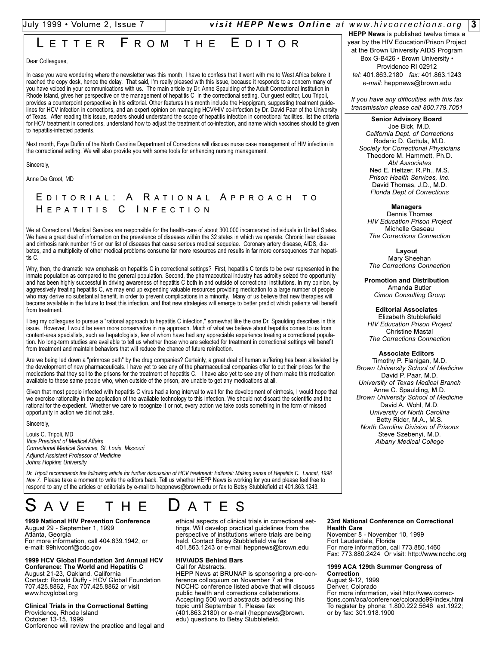# July 1999 Volume 2, Issue 7 *visit HEPP News Online at www.hivcorrections.org* **3**

# LETTER FROM THE EDITOR

Dear Colleagues,

In case you were wondering where the newsletter was this month, I have to confess that it went with me to West Africa before it reached the copy desk, hence the delay. That said, I'm really pleased with this issue, because it responds to a concern many of you have voiced in your communications with us. The main article by Dr. Anne Spaulding of the Adult Correctional Institution in Rhode Island, gives her perspective on the management of hepatitis C in the correctional setting. Our guest editor, Lou Tripoli, provides a counterpoint perspective in his editorial. Other features this month include the Heppigram, suggesting treatment guidelines for HCV infection in corrections, and an expert opinion on managing HCV/HIV co-infection by Dr. David Paar of the University of Texas. After reading this issue, readers should understand the scope of hepatitis infection in correctional facilities, list the criteria for HCV treatment in corrections, understand how to adjust the treatment of co-infection, and name which vaccines should be given to hepatitis-infected patients.

Next month, Faye Duffin of the North Carolina Department of Corrections will discuss nurse case management of HIV infection in the correctional setting. We will also provide you with some tools for enhancing nursing management.

Sincerely,

Anne De Groot, MD

# E DITORIAL : A R ATIONAL A PPROACH TO H EPATITIS C I NFECTION

We at Correctional Medical Services are responsible for the health-care of about 300,000 incarcerated individuals in United States. We have a great deal of information on the prevalence of diseases within the 32 states in which we operate. Chronic liver disease and cirrhosis rank number 15 on our list of diseases that cause serious medical sequelae. Coronary artery disease, AIDS, diabetes, and a multiplicity of other medical problems consume far more resources and results in far more consequences than hepatitis C.

Why, then, the dramatic new emphasis on hepatitis C in correctional settings? First, hepatitis C tends to be over represented in the inmate population as compared to the general population. Second, the pharmaceutical industry has adroitly seized the opportunity and has been highly successful in driving awareness of hepatitis C both in and outside of correctional institutions. In my opinion, by aggressively treating hepatitis C, we may end up expending valuable resources providing medication to a large number of people who may derive no substantial benefit, in order to prevent complications in a minority. Many of us believe that new therapies will become available in the future to treat this infection, and that new strategies will emerge to better predict which patients will benefit from treatment.

I beg my colleagues to pursue a "rational approach to hepatitis C infection," somewhat like the one Dr. Spaulding describes in this issue. However, I would be even more conservative in my approach. Much of what we believe about hepatitis comes to us from content-area specialists, such as hepatologists, few of whom have had any appreciable experience treating a correctional population. No long-term studies are available to tell us whether those who are selected for treatment in correctional settings will benefit from treatment and maintain behaviors that will reduce the chance of future reinfection.

Are we being led down a "primrose path" by the drug companies? Certainly, a great deal of human suffering has been alleviated by the development of new pharmaceuticals. I have yet to see any of the pharmaceutical companies offer to cut their prices for the medications that they sell to the prisons for the treatment of hepatitis C. I have also yet to see any of them make this medication available to these same people who, when outside of the prison, are unable to get any medications at all.

Given that most people infected with hepatitis C virus had a long interval to wait for the development of cirrhosis, I would hope that we exercise rationality in the application of the available technology to this infection. We should not discard the scientific and the rational for the expedient. Whether we care to recognize it or not, every action we take costs something in the form of missed opportunity in action we did not take.

Sincerely,

Louis C. Tripoli, MD *Vice President of Medical Affairs Correctional Medical Services, St. Louis, Missouri Adjunct Assistant Professor of Medicine Johns Hopkins University*

*Dr. Tripoli recommends the following article for further discussion of HCV treatment: Editorial: Making sense of Hepatitis C. Lancet, 1998 Nov 7.* Please take a moment to write the editors back. Tell us whether HEPP News is working for you and please feel free to respond to any of the articles or editorials by e-mail to heppnews@brown.edu or fax to Betsy Stubblefield at 401.863.1243.

# AVE THE **D**ATES

**1999 National HIV Prevention Conference** August 29 - September 1, 1999 Atlanta, Georgia For more information, call 404.639.1942, or e-mail: 99hivconf@cdc.gov

#### **1999 HCV Global Foundation 3rd Annual HCV Conference: The World and Hepatitis C**

August 21-23, Oakland, California Contact: Ronald Duffy - HCV Global Foundation 707.425.8862, Fax 707.425.8862 or visit www.hcvglobal.org

**Clinical Trials in the Correctional Setting** Providence, Rhode Island October 13-15, 1999 Conference will review the practice and legal and ethical aspects of clinical trials in correctional settings. Will develop practical guidelines from the perspective of institutions where trials are being held. Contact Betsy Stubblefield via fax 401.863.1243 or e-mail heppnews@brown.edu

# **HIV/AIDS Behind Bars**

Call for Abstracts.

HEPP News at BRUNAP is sponsoring a pre-conference colloquium on November 7 at the NCCHC conference listed above that will discuss public health and corrections collaborations. Accepting 500 word abstracts addressing this topic until September 1. Please fax (401.863.2180) or e-mail (heppnews@brown. edu) questions to Betsy Stubblefield.

**HEPP News** is published twelve times a year by the HIV Education/Prison Project at the Brown University AIDS Program Box G-B426 · Brown University · Providence RI 02912 *tel:* 401.863.2180 *fax:* 401.863.1243 *e-mail:* heppnews@brown.edu

*If you have any difficulties with this fax transmission please call 800.779.7051*

**Senior Advisory Board**

Joe Bick, M.D. *California Dept. of Corrections* Roderic D. Gottula, M.D. *Society for Correctional Physicians* Theodore M. Hammett, Ph.D. *Abt Associates* Ned E. Heltzer, R.Ph., M.S. *Prison Health Services, Inc.* David Thomas, J.D., M.D. *Florida Dept of Corrections*

**Managers**

Dennis Thomas *HIV Education Prison Project* Michelle Gaseau *The Corrections Connection*

**Layout**  Mary Sheehan *The Corrections Connection*

**Promotion and Distribution** Amanda Butler *Cimon Consulting Group*

**Editorial Associates**  Elizabeth Stubblefield *HIV Education Prison Project* Christine Mastal *The Corrections Connection*

**Associate Editors**

Timothy P. Flanigan, M.D. *Brown University School of Medicine* David P. Paar, M.D. *University of Texas Medical Branch* Anne C. Spaulding, M.D. *Brown University School of Medicine* David A. Wohl, M.D. *University of North Carolina* Betty Rider, M.A., M.S. *North Carolina Division of Prisons* Steve Szebenyi, M.D. *Albany Medical College*

**23rd National Conference on Correctional Health Care** 

November 8 - November 10, 1999 Fort Lauderdale, Florida For more information, call 773.880.1460 Fax: 773.880.2424 Or visit: http://www.ncchc.org

#### **1999 ACA 129th Summer Congress of Correction**

August 9-12, 1999 Denver, Colorado For more information, visit http://www.corrections.com/aca/conference/colorado99/index.html To register by phone: 1.800.222.5646 ext.1922; or by fax: 301.918.1900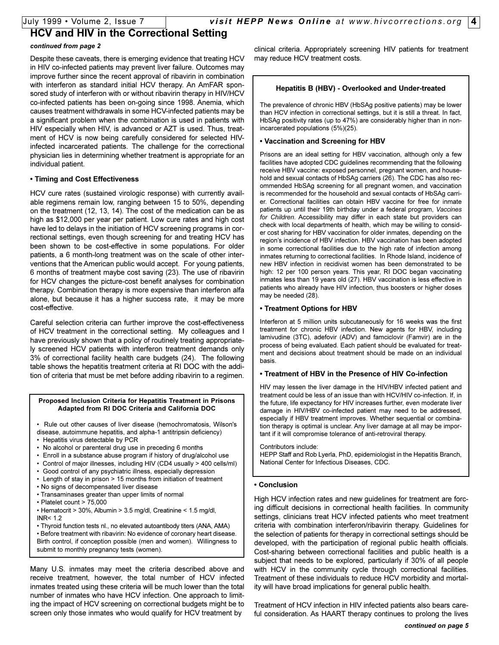# **HCV and HIV in the Correctional Setting**

### *continued from page 2*

Despite these caveats, there is emerging evidence that treating HCV in HIV co-infected patients may prevent liver failure. Outcomes may improve further since the recent approval of ribavirin in combination with interferon as standard initial HCV therapy. An AmFAR sponsored study of interferon with or without ribavirin therapy in HIV/HCV co-infected patients has been on-going since 1998. Anemia, which causes treatment withdrawals in some HCV-infected patients may be a significant problem when the combination is used in patients with HIV especially when HIV, is advanced or AZT is used. Thus, treatment of HCV is now being carefully considered for selected HIVinfected incarcerated patients. The challenge for the correctional physician lies in determining whether treatment is appropriate for an individual patient.

# **Timing and Cost Effectiveness**

HCV cure rates (sustained virologic response) with currently available regimens remain low, ranging between 15 to 50%, depending on the treatment (12, 13, 14). The cost of the medication can be as high as \$12,000 per year per patient. Low cure rates and high cost have led to delays in the initiation of HCV screening programs in correctional settings, even though screening for and treating HCV has been shown to be cost-effective in some populations. For older patients, a 6 month-long treatment was on the scale of other interventions that the American public would accept. For young patients, 6 months of treatment maybe cost saving (23). The use of ribavirin for HCV changes the picture-cost benefit analyses for combination therapy. Combination therapy is more expensive than interferon alfa alone, but because it has a higher success rate, it may be more cost-effective.

Careful selection criteria can further improve the cost-effectiveness of HCV treatment in the correctional setting. My colleagues and I have previously shown that a policy of routinely treating appropriately screened HCV patients with interferon treatment demands only 3% of correctional facility health care budgets (24). The following table shows the hepatitis treatment criteria at RI DOC with the addition of criteria that must be met before adding ribavirin to a regimen.

#### **Proposed Inclusion Criteria for Hepatitis Treatment in Prisons Adapted from RI DOC Criteria and California DOC**

- Rule out other causes of liver disease (hemochromatosis, Wilson's disease, autoimmune hepatitis, and alpha-1 antitripsin deficiency)
- Hepatitis virus detectable by PCR
- No alcohol or parenteral drug use in preceding 6 months
- Enroll in a substance abuse program if history of drug/alcohol use
- Control of major illnesses, including HIV (CD4 usually > 400 cells/ml)
- Good control of any psychiatric illness, especially depression
- Length of stay in prison > 15 months from initiation of treatment
- No signs of decompensated liver disease
- Transaminases greater than upper limits of normal
- Platelet count > 75,000
- Hematocrit > 30%, Albumin > 3.5 mg/dl, Creatinine < 1.5 mg/dl, INR $< 1.2$

 Thyroid function tests nl., no elevated autoantibody titers (ANA, AMA) Before treatment with ribavirin: No evidence of coronary heart disease. Birth control, if conception possible (men and women). Willingness to submit to monthly pregnancy tests (women).

Many U.S. inmates may meet the criteria described above and receive treatment, however, the total number of HCV infected inmates treated using these criteria will be much lower than the total number of inmates who have HCV infection. One approach to limiting the impact of HCV screening on correctional budgets might be to screen only those inmates who would qualify for HCV treatment by

clinical criteria. Appropriately screening HIV patients for treatment may reduce HCV treatment costs.

# **Hepatitis B (HBV) - Overlooked and Under-treated**

The prevalence of chronic HBV (HbSAg positive patients) may be lower than HCV infection in correctional settings, but it is still a threat. In fact, HbSAg positivity rates (up to 47%) are considerably higher than in nonincarcerated populations (5%)(25).

# **Vaccination and Screening for HBV**

Prisons are an ideal setting for HBV vaccination, although only a few facilities have adopted CDC guidelines recommending that the following receive HBV vaccine: exposed personnel, pregnant women, and household and sexual contacts of HbSAg carriers (26). The CDC has also recommended HbSAg screening for all pregnant women, and vaccination is recommended for the household and sexual contacts of HbSAg carrier. Correctional facilities can obtain HBV vaccine for free for inmate patients up until their 19th birthday under a federal program, *Vaccines for Children*. Accessibility may differ in each state but providers can check with local departments of health, which may be willing to consider cost sharing for HBV vaccination for older inmates, depending on the region's incidence of HBV infection. HBV vaccination has been adopted in some correctional facilities due to the high rate of infection among inmates returning to correctional facilities. In Rhode Island, incidence of new HBV infection in recidivist women has been demonstrated to be high: 12 per 100 person years. This year, RI DOC began vaccinating inmates less than 19 years old (27). HBV vaccination is less effective in patients who already have HIV infection, thus boosters or higher doses may be needed (28).

# **Treatment Options for HBV**

Interferon at 5 million units subcutaneously for 16 weeks was the first treatment for chronic HBV infection. New agents for HBV, including lamivudine (3TC), adefovir (ADV) and famciclovir (Famvir) are in the process of being evaluated. Each patient should be evaluated for treatment and decisions about treatment should be made on an individual basis.

### **Treatment of HBV in the Presence of HIV Co-infection**

HIV may lessen the liver damage in the HIV/HBV infected patient and treatment could be less of an issue than with HCV/HIV co-infection. If, in the future, life expectancy for HIV increases further, even moderate liver damage in HIV/HBV co-infected patient may need to be addressed, especially if HBV treatment improves. Whether sequential or combination therapy is optimal is unclear. Any liver damage at all may be important if it will compromise tolerance of anti-retroviral therapy.

Contributors include:

HEPP Staff and Rob Lyerla, PhD, epidemiologist in the Hepatitis Branch, National Center for Infectious Diseases, CDC.

### **Conclusion**

High HCV infection rates and new guidelines for treatment are forcing difficult decisions in correctional health facilities. In community settings, clinicians treat HCV infected patients who meet treatment criteria with combination interferon/ribavirin therapy. Guidelines for the selection of patients for therapy in correctional settings should be developed, with the participation of regional public health officials. Cost-sharing between correctional facilities and public health is a subject that needs to be explored, particularly if 30% of all people with HCV in the community cycle through correctional facilities. Treatment of these individuals to reduce HCV morbidity and mortality will have broad implications for general public health.

Treatment of HCV infection in HIV infected patients also bears careful consideration. As HAART therapy continues to prolong the lives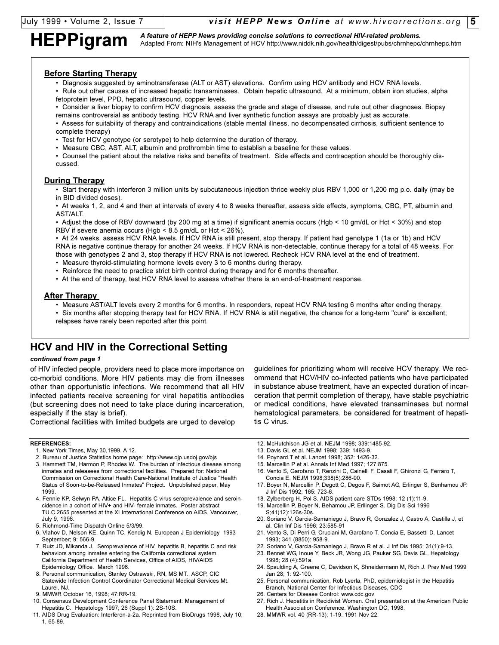HEPPigram A feature of HEPP News providing concise solutions to correctional HIV-related problems.<br>HEPPigram Adapted From: NIH's Management of HCV http://www.niddk.nih.gov/health/digest/pubs/chrnhepc/chrnhepc.htm

# **Before Starting Therapy**

- Diagnosis suggested by aminotransferase (ALT or AST) elevations. Confirm using HCV antibody and HCV RNA levels.
- Rule out other causes of increased hepatic transaminases. Obtain hepatic ultrasound. At a minimum, obtain iron studies, alpha fetoprotein level, PPD, hepatic ultrasound, copper levels.
- Consider a liver biopsy to confirm HCV diagnosis, assess the grade and stage of disease, and rule out other diagnoses. Biopsy remains controversial as antibody testing, HCV RNA and liver synthetic function assays are probably just as accurate.
- Assess for suitability of therapy and contraindications (stable mental illness, no decompensated cirrhosis, sufficient sentence to complete therapy)
- Test for HCV genotype (or serotype) to help determine the duration of therapy.
- Measure CBC, AST, ALT, albumin and prothrombin time to establish a baseline for these values.
- Counsel the patient about the relative risks and benefits of treatment. Side effects and contraception should be thoroughly discussed.

# **During Therapy**

 Start therapy with interferon 3 million units by subcutaneous injection thrice weekly plus RBV 1,000 or 1,200 mg p.o. daily (may be in BID divided doses).

 At weeks 1, 2, and 4 and then at intervals of every 4 to 8 weeks thereafter, assess side effects, symptoms, CBC, PT, albumin and AST/ALT.

 Adjust the dose of RBV downward (by 200 mg at a time) if significant anemia occurs (Hgb < 10 gm/dL or Hct < 30%) and stop RBV if severe anemia occurs (Hgb < 8.5 gm/dL or Hct < 26%).

• At 24 weeks, assess HCV RNA levels. If HCV RNA is still present, stop therapy. If patient had genotype 1 (1a or 1b) and HCV RNA is negative continue therapy for another 24 weeks. If HCV RNA is non-detectable, continue therapy for a total of 48 weeks. For those with genotypes 2 and 3, stop therapy if HCV RNA is not lowered. Recheck HCV RNA level at the end of treatment.

- Measure thyroid-stimulating hormone levels every 3 to 6 months during therapy.
- Reinforce the need to practice strict birth control during therapy and for 6 months thereafter.
- At the end of therapy, test HCV RNA level to assess whether there is an end-of-treatment response.

### **After Therapy**

- Measure AST/ALT levels every 2 months for 6 months. In responders, repeat HCV RNA testing 6 months after ending therapy.
- Six months after stopping therapy test for HCV RNA. If HCV RNA is still negative, the chance for a long-term "cure" is excellent; relapses have rarely been reported after this point.

# **HCV and HIV in the Correctional Setting**

#### *continued from page 1*

of HIV infected people, providers need to place more importance on co-morbid conditions. More HIV patients may die from illnesses other than opportunistic infections. We recommend that all HIV infected patients receive screening for viral hepatitis antibodies (but screening does not need to take place during incarceration, especially if the stay is brief).

Correctional facilities with limited budgets are urged to develop

#### **REFERENCES:**

- 1. New York Times, May 30,1999. A 12.
- 2. Bureau of Justice Statistics home page: http://www.ojp.usdoj.gov/bjs
- 3. Hammett TM, Harmon P, Rhodes W. The burden of infectious disease among inmates and releasees from correctional facilities. Prepared for: National Commission on Correctional Health Care-National Institute of Justice "Health Status of Soon-to-be-Released Inmates" Project. Unpublished paper, May 1999.
- 4. Fennie KP, Selwyn PA, Altice FL. Hepatitis C virus seroprevalence and seroincidence in a cohort of HIV+ and HIV- female inmates. Poster abstract TU.C.2655 presented at the XI International Conference on AIDS, Vancouver, July 9, 1996.
- 5. Richmond-Time Dispatch Online 5/3/99.
- 6. Vlahov D, Nelson KE, Quinn TC, Kendig N. European J Epidemiology 1993 September; 9: 566-9.
- 7. Ruiz JD, Mikanda J. Seroprevalence of HIV, hepatitis B, hepatitis C and risk behaviors among inmates entering the California correctional system. California Department of Health Services, Office of AIDS, HIV/AIDS Epidemiology Office. March 1996.
- 8. Personal communication, Stanley Ostrawski, RN, MS MT. ASCP, CIC Statewide Infection Control Coordinator Correctional Medical Services Mt. Laurel, NJ.
- 9. MMWR October 16, 1998; 47:RR-19.
- 10. Consensus Development Conference Panel Statement: Management of Hepatitis C. Hepatology 1997; 26 (Suppl 1): 2S-10S.
- 11. AIDS Drug Evaluation: Interferon-a-2a. Reprinted from BioDrugs 1998, July 10; 1, 65-89.
- guidelines for prioritizing whom will receive HCV therapy. We recommend that HCV/HIV co-infected patients who have participated in substance abuse treatment, have an expected duration of incarceration that permit completion of therapy, have stable psychiatric or medical conditions, have elevated transaminases but normal hematological parameters, be considered for treatment of hepatitis C virus.
- 12. McHutchison JG et al. NEJM 1998; 339:1485-92.
- 13. Davis GL et al. NEJM 1998; 339: 1493-9.
- 14. Poynard T et al. Lancet 1998; 352: 1426-32.
- 15. Marcellin P et al. Annals Int Med 1997; 127:875.
- 16. Vento S, Garofano T, Renzini C, Cainelli F, Casali F, Ghironzi G, Ferraro T, Concia E. NEJM 1998;338(5):286-90.
- 17. Boyer N, Marcellin P, Degott C, Degos F, Saimot AG, Erlinger S, Benhamou JP. J Inf Dis 1992; 165: 723-6.
- 18. Zylberberg H, Pol S. AIDS patient care STDs 1998; 12 (1):11-9.
- 19. Marcellin P, Boyer N, Behamou JP, Erllinger S. Dig Dis Sci 1996
	- S;41(12):126s-30s.
- 20. Soriano V, Garcia-Samaniego J, Bravo R, Gonzalez J, Castro A, Castilla J, et al. Clin Inf Dis 1996; 23:585-91
- 21. Vento S, Di Perri G, Cruciani M, Garofano T, Concia E, Bassetti D. Lancet 1993; 341 (8850): 958-9.
- 22. Soriano V, Garcia-Samaniego J, Bravo R et al. J Inf Dis 1995; 31(1):9-13.
- 23. Bennet WG, Inoue Y, Beck JR, Wong JG, Pauker SG, Davis GL. Hepatology 1998; 28 (4):591a.
- 24. Spaulding A, Greene C, Davidson K, Shneidermann M, Rich J. Prev Med 1999 Jan 28; 1: 92-100.
- 25. Personal communication, Rob Lyerla, PhD, epidemiologist in the Hepatitis Branch, National Center for Infectious Diseases, CDC
- 26. Centers for Disease Control: www.cdc.gov
- 27. Rich J. Hepatitis in Recidivist Women. Oral presentation at the American Public Health Association Conference. Washington DC, 1998.
- 28. MMWR vol. 40 (RR-13); 1-19. 1991 Nov 22.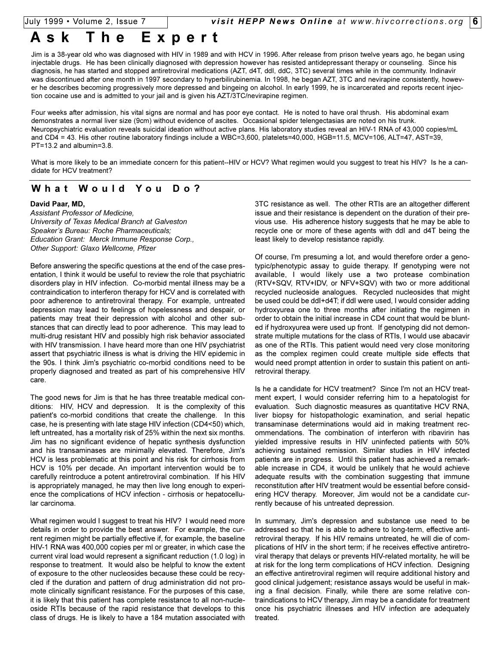# **Ask The Expert**

Jim is a 38-year old who was diagnosed with HIV in 1989 and with HCV in 1996. After release from prison twelve years ago, he began using injectable drugs. He has been clinically diagnosed with depression however has resisted antidepressant therapy or counseling. Since his diagnosis, he has started and stopped antiretroviral medications (AZT, d4T, ddI, ddC, 3TC) several times while in the community. Indinavir was discontinued after one month in 1997 secondary to hyperbilirubinemia. In 1998, he began AZT, 3TC and nevirapine consistently, however he describes becoming progressively more depressed and bingeing on alcohol. In early 1999, he is incarcerated and reports recent injection cocaine use and is admitted to your jail and is given his AZT/3TC/nevirapine regimen.

Four weeks after admission, his vital signs are normal and has poor eye contact. He is noted to have oral thrush. His abdominal exam demonstrates a normal liver size (9cm) without evidence of ascites. Occasional spider telengectasias are noted on his trunk. Neuropsychiatric evaluation reveals suicidal ideation without active plans. His laboratory studies reveal an HIV-1 RNA of 43,000 copies/mL and CD4 = 43. His other routine laboratory findings include a WBC=3,600, platelets=40,000, HGB=11.5, MCV=106, ALT=47, AST=39, PT=13.2 and albumin=3.8.

What is more likely to be an immediate concern for this patient--HIV or HCV? What regimen would you suggest to treat his HIV? Is he a candidate for HCV treatment?

# **What Would You Do?**

#### **David Paar, MD,**

*Assistant Professor of Medicine, University of Texas Medical Branch at Galveston* Speaker's Bureau: Roche Pharmaceuticals; *Education Grant: Merck Immune Response Corp., Other Support: Glaxo Wellcome, Pfizer*

Before answering the specific questions at the end of the case presentation, I think it would be useful to review the role that psychiatric disorders play in HIV infection. Co-morbid mental illness may be a contraindication to interferon therapy for HCV and is correlated with poor adherence to antiretroviral therapy. For example, untreated depression may lead to feelings of hopelessness and despair, or patients may treat their depression with alcohol and other substances that can directly lead to poor adherence. This may lead to multi-drug resistant HIV and possibly high risk behavior associated with HIV transmission. I have heard more than one HIV psychiatrist assert that psychiatric illness is what is driving the HIV epidemic in the 90s. I think Jim's psychiatric co-morbid conditions need to be properly diagnosed and treated as part of his comprehensive HIV care.

The good news for Jim is that he has three treatable medical conditions: HIV, HCV and depression. It is the complexity of this patient's co-morbid conditions that create the challenge. In this case, he is presenting with late stage HIV infection (CD4<50) which, left untreated, has a mortality risk of 25% within the next six months. Jim has no significant evidence of hepatic synthesis dysfunction and his transaminases are minimally elevated. Therefore, Jim's HCV is less problematic at this point and his risk for cirrhosis from HCV is 10% per decade. An important intervention would be to carefully reintroduce a potent antiretroviral combination. If his HIV is appropriately managed, he may then live long enough to experience the complications of HCV infection - cirrhosis or hepatocellular carcinoma.

What regimen would I suggest to treat his HIV? I would need more details in order to provide the best answer. For example, the current regimen might be partially effective if, for example, the baseline HIV-1 RNA was 400,000 copies per ml or greater, in which case the current viral load would represent a significant reduction (1.0 log) in response to treatment. It would also be helpful to know the extent of exposure to the other nucleosides because these could be recycled if the duration and pattern of drug administration did not promote clinically significant resistance. For the purposes of this case, it is likely that this patient has complete resistance to all non-nucleoside RTIs because of the rapid resistance that develops to this class of drugs. He is likely to have a 184 mutation associated with 3TC resistance as well. The other RTIs are an altogether different issue and their resistance is dependent on the duration of their previous use. His adherence history suggests that he may be able to recycle one or more of these agents with ddI and d4T being the least likely to develop resistance rapidly.

Of course, I'm presuming a lot, and would therefore order a genotypic/phenotypic assay to guide therapy. If genotyping were not available, I would likely use a two protease combination (RTV+SQV, RTV+IDV, or NFV+SQV) with two or more additional recycled nucleoside analogues. Recycled nucleosides that might be used could be ddI+d4T; if ddI were used, I would consider adding hydroxyurea one to three months after initiating the regimen in order to obtain the initial increase in CD4 count that would be blunted if hydroxyurea were used up front. If genotyping did not demonstrate multiple mutations for the class of RTIs, I would use abacavir as one of the RTIs. This patient would need very close monitoring as the complex regimen could create multiple side effects that would need prompt attention in order to sustain this patient on antiretroviral therapy.

Is he a candidate for HCV treatment? Since I'm not an HCV treatment expert, I would consider referring him to a hepatologist for evaluation. Such diagnostic measures as quantitative HCV RNA, liver biopsy for histopathologic examination, and serial hepatic transaminase determinations would aid in making treatment recommendations. The combination of interferon with ribavirin has yielded impressive results in HIV uninfected patients with 50% achieving sustained remission. Similar studies in HIV infected patients are in progress. Until this patient has achieved a remarkable increase in CD4, it would be unlikely that he would achieve adequate results with the combination suggesting that immune reconstitution after HIV treatment would be essential before considering HCV therapy. Moreover, Jim would not be a candidate currently because of his untreated depression.

In summary, Jim's depression and substance use need to be addressed so that he is able to adhere to long-term, effective antiretroviral therapy. If his HIV remains untreated, he will die of complications of HIV in the short term; if he receives effective antiretroviral therapy that delays or prevents HIV-related mortality, he will be at risk for the long term complications of HCV infection. Designing an effective antiretroviral regimen will require additional history and good clinical judgement; resistance assays would be useful in making a final decision. Finally, while there are some relative contraindications to HCV therapy, Jim may be a candidate for treatment once his psychiatric illnesses and HIV infection are adequately treated.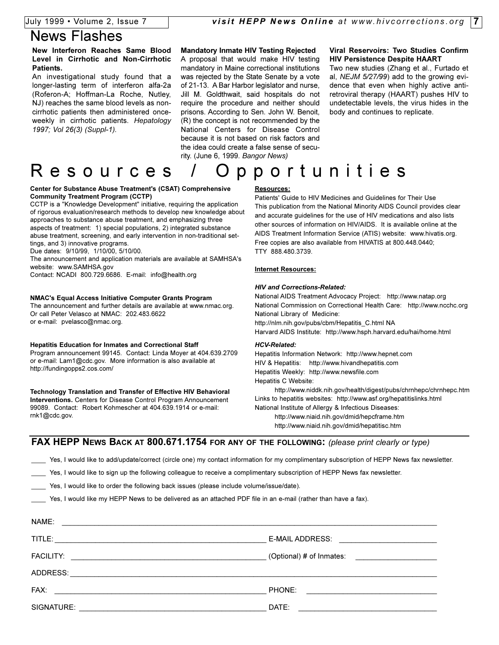# News Flashes

### **New Interferon Reaches Same Blood Level in Cirrhotic and Non-Cirrhotic Patients.**

An investigational study found that a longer-lasting term of interferon alfa-2a (Roferon-A; Hoffman-La Roche, Nutley, NJ) reaches the same blood levels as noncirrhotic patients then administered onceweekly in cirrhotic patients. *Hepatology 1997; Vol 26(3) (Suppl-1).*

#### **Mandatory Inmate HIV Testing Rejected**

A proposal that would make HIV testing mandatory in Maine correctional institutions was rejected by the State Senate by a vote of 21-13. A Bar Harbor legislator and nurse, Jill M. Goldthwait, said hospitals do not require the procedure and neither should prisons. According to Sen. John W. Benoit, (R) the concept is not recommended by the National Centers for Disease Control because it is not based on risk factors and the idea could create a false sense of security. (June 6, 1999. *Bangor News)*

#### **Viral Reservoirs: Two Studies Confirm HIV Persistence Despite HAART**

Two new studies (Zhang et al., Furtado et al, *NEJM 5/27/99*) add to the growing evidence that even when highly active antiretroviral therapy (HAART) pushes HIV to undetectable levels, the virus hides in the body and continues to replicate.

# Resources / Opportunities

#### **Center for Substance Abuse Treatment's (CSAT) Comprehensive Community Treatment Program (CCTP)**

CCTP is a "Knowledge Development" initiative, requiring the application of rigorous evaluation/research methods to develop new knowledge about approaches to substance abuse treatment, and emphasizing three aspects of treatment: 1) special populations, 2) integrated substance abuse treatment, screening, and early intervention in non-traditional settings, and 3) innovative programs.

Due dates: 9/10/99, 1/10/00, 5/10/00.

The announcement and application materials are available at SAMHSA's website: www.SAMHSA.gov

Contact: NCADI 800.729.6686. E-mail: info@health.org

#### **NMAC's Equal Access Initiative Computer Grants Program**

The announcement and further details are available at www.nmac.org. Or call Peter Velasco at NMAC: 202.483.6622 or e-mail: pvelasco@nmac.org.

#### **Hepatitis Education for Inmates and Correctional Staff**

Program announcement 99145. Contact: Linda Moyer at 404.639.2709 or e-mail: Lam1@cdc.gov. More information is also available at http://fundingopps2.cos.com/

#### **Technology Translation and Transfer of Effective HIV Behavioral Interventions.** Centers for Disease Control Program Announcement 99089. Contact: Robert Kohmescher at 404.639.1914 or e-mail: rnk1@cdc.gov.

#### **Resources:**

Patients' Guide to HIV Medicines and Guidelines for Their Use This publication from the National Minority AIDS Council provides clear and accurate guidelines for the use of HIV medications and also lists other sources of information on HIV/AIDS. It is available online at the AIDS Treatment Information Service (ATIS) website: www.hivatis.org. Free copies are also available from HIVATIS at 800.448.0440; TTY 888.480.3739.

#### **Internet Resources:**

#### *HIV and Corrections-Related:*

National AIDS Treatment Advocacy Project: http://www.natap.org National Commission on Correctional Health Care: http://www.ncchc.org National Library of Medicine: http://nlm.nih.gov/pubs/cbm/Hepatitis\_C.html NA Harvard AIDS Institute: http://www.hsph.harvard.edu/hai/home.html

#### *HCV-Related:*

Hepatitis Information Network: http://www.hepnet.com HIV & Hepatitis: http://www.hivandhepatitis.com Hepatitis Weekly: http://www.newsfile.com Hepatitis C Website:

http://www.niddk.nih.gov/health/digest/pubs/chrnhepc/chrnhepc.htm Links to hepatitis websites: http://www.asf.org/hepatitislinks.html National Institute of Allergy & Infectious Diseases: http://www.niaid.nih.gov/dmid/hepcframe.htm http://www.niaid.nih.gov/dmid/hepatitisc.htm

**FAX HEPP NEWS BACK AT 800.671.1754 FOR ANY OF THE FOLLOWING:** *(please print clearly or type)*

\_\_\_\_ Yes, I would like to add/update/correct (circle one) my contact information for my complimentary subscription of HEPP News fax newsletter.

Yes, I would like to sign up the following colleague to receive a complimentary subscription of HEPP News fax newsletter.

Yes, I would like to order the following back issues (please include volume/issue/date).

Yes, I would like my HEPP News to be delivered as an attached PDF file in an e-mail (rather than have a fax).

| NAME:                                                             |                                                                                                                               |
|-------------------------------------------------------------------|-------------------------------------------------------------------------------------------------------------------------------|
|                                                                   | E-MAIL ADDRESS: _______________________________                                                                               |
|                                                                   | $\left($ Optional) # of Inmates:                                                                                              |
|                                                                   |                                                                                                                               |
| FAX:<br><u> 1980 - John Stein, Amerikaansk politiker (* 1900)</u> | PHONE:<br><u> 1989 - Andrea Andrew Maria (h. 1989).</u>                                                                       |
| SIGNATURE:                                                        | DATE:<br><u> 1989 - Johann Stein, marwolaethau a bhann an t-Amhain an t-Amhain an t-Amhain an t-Amhain an t-Amhain an t-A</u> |